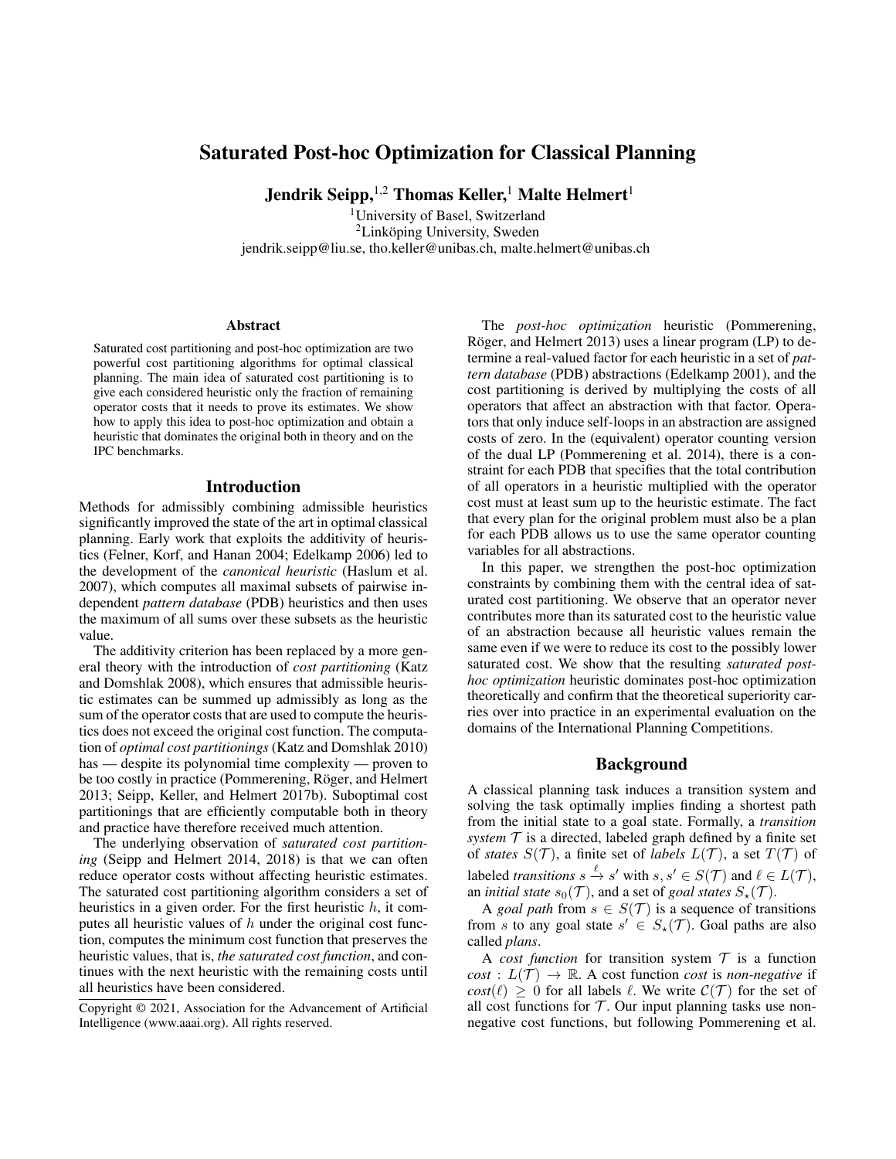# Saturated Post-hoc Optimization for Classical Planning

Jendrik Seipp, <sup>1,2</sup> Thomas Keller,<sup>1</sup> Malte Helmert<sup>1</sup>

<sup>1</sup>University of Basel, Switzerland  ${}^{2}$ Linköping University, Sweden jendrik.seipp@liu.se, tho.keller@unibas.ch, malte.helmert@unibas.ch

#### **Abstract**

Saturated cost partitioning and post-hoc optimization are two powerful cost partitioning algorithms for optimal classical planning. The main idea of saturated cost partitioning is to give each considered heuristic only the fraction of remaining operator costs that it needs to prove its estimates. We show how to apply this idea to post-hoc optimization and obtain a heuristic that dominates the original both in theory and on the IPC benchmarks.

#### Introduction

Methods for admissibly combining admissible heuristics significantly improved the state of the art in optimal classical planning. Early work that exploits the additivity of heuristics (Felner, Korf, and Hanan 2004; Edelkamp 2006) led to the development of the *canonical heuristic* (Haslum et al. 2007), which computes all maximal subsets of pairwise independent *pattern database* (PDB) heuristics and then uses the maximum of all sums over these subsets as the heuristic value.

The additivity criterion has been replaced by a more general theory with the introduction of *cost partitioning* (Katz and Domshlak 2008), which ensures that admissible heuristic estimates can be summed up admissibly as long as the sum of the operator costs that are used to compute the heuristics does not exceed the original cost function. The computation of *optimal cost partitionings* (Katz and Domshlak 2010) has — despite its polynomial time complexity — proven to be too costly in practice (Pommerening, Röger, and Helmert 2013; Seipp, Keller, and Helmert 2017b). Suboptimal cost partitionings that are efficiently computable both in theory and practice have therefore received much attention.

The underlying observation of *saturated cost partitioning* (Seipp and Helmert 2014, 2018) is that we can often reduce operator costs without affecting heuristic estimates. The saturated cost partitioning algorithm considers a set of heuristics in a given order. For the first heuristic  $h$ , it computes all heuristic values of  $h$  under the original cost function, computes the minimum cost function that preserves the heuristic values, that is, *the saturated cost function*, and continues with the next heuristic with the remaining costs until all heuristics have been considered.

The *post-hoc optimization* heuristic (Pommerening, Röger, and Helmert 2013) uses a linear program (LP) to determine a real-valued factor for each heuristic in a set of *pattern database* (PDB) abstractions (Edelkamp 2001), and the cost partitioning is derived by multiplying the costs of all operators that affect an abstraction with that factor. Operators that only induce self-loops in an abstraction are assigned costs of zero. In the (equivalent) operator counting version of the dual LP (Pommerening et al. 2014), there is a constraint for each PDB that specifies that the total contribution of all operators in a heuristic multiplied with the operator cost must at least sum up to the heuristic estimate. The fact that every plan for the original problem must also be a plan for each PDB allows us to use the same operator counting variables for all abstractions.

In this paper, we strengthen the post-hoc optimization constraints by combining them with the central idea of saturated cost partitioning. We observe that an operator never contributes more than its saturated cost to the heuristic value of an abstraction because all heuristic values remain the same even if we were to reduce its cost to the possibly lower saturated cost. We show that the resulting *saturated posthoc optimization* heuristic dominates post-hoc optimization theoretically and confirm that the theoretical superiority carries over into practice in an experimental evaluation on the domains of the International Planning Competitions.

### Background

A classical planning task induces a transition system and solving the task optimally implies finding a shortest path from the initial state to a goal state. Formally, a *transition system*  $T$  is a directed, labeled graph defined by a finite set of *states*  $S(\mathcal{T})$ , a finite set of *labels*  $L(\mathcal{T})$ , a set  $T(\mathcal{T})$  of labeled *transitions*  $s \xrightarrow{\ell} s'$  with  $s, s' \in S(\mathcal{T})$  and  $\ell \in L(\mathcal{T})$ , an *initial state*  $s_0(\mathcal{T})$ , and a set of *goal states*  $S_\star(\mathcal{T})$ .

A *goal path* from  $s \in S(\mathcal{T})$  is a sequence of transitions from s to any goal state  $s' \in S_\star(\mathcal{T})$ . Goal paths are also called *plans*.

A *cost function* for transition system  $T$  is a function  $cost: L(\mathcal{T}) \rightarrow \mathbb{R}$ . A cost function *cost* is *non-negative* if  $cost(\ell) \geq 0$  for all labels  $\ell$ . We write  $C(\mathcal{T})$  for the set of all cost functions for  $T$ . Our input planning tasks use nonnegative cost functions, but following Pommerening et al.

Copyright © 2021, Association for the Advancement of Artificial Intelligence (www.aaai.org). All rights reserved.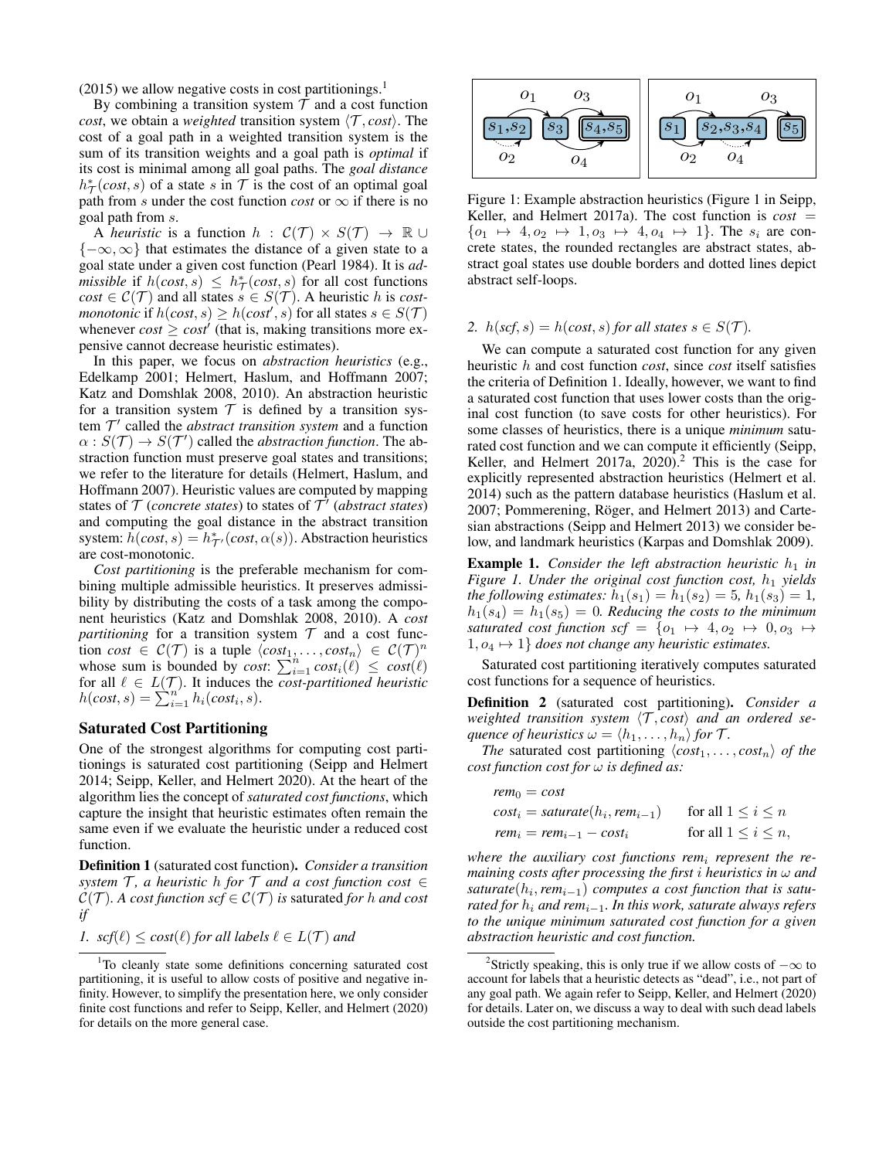$(2015)$  we allow negative costs in cost partitionings.<sup>1</sup>

By combining a transition system  $T$  and a cost function *cost*, we obtain a *weighted* transition system  $\langle \mathcal{T}, cost \rangle$ . The cost of a goal path in a weighted transition system is the sum of its transition weights and a goal path is *optimal* if its cost is minimal among all goal paths. The *goal distance*  $h^*_{\mathcal{T}}(cost, s)$  of a state s in T is the cost of an optimal goal path from s under the cost function *cost* or  $\infty$  if there is no goal path from s.

A *heuristic* is a function  $h : C(\mathcal{T}) \times S(\mathcal{T}) \rightarrow \mathbb{R} \cup$  ${-\infty, \infty}$  that estimates the distance of a given state to a goal state under a given cost function (Pearl 1984). It is *admissible* if  $h(cost, s) \leq h^*$  (*cost*, *s*) for all cost functions  $cost \in \mathcal{C}(\mathcal{T})$  and all states  $s \in S(\mathcal{T})$ . A heuristic h is *costmonotonic* if  $h(cost, s) \geq h(cost', s)$  for all states  $s \in S(\mathcal{T})$ whenever  $cost \geq cost'$  (that is, making transitions more expensive cannot decrease heuristic estimates).

In this paper, we focus on *abstraction heuristics* (e.g., Edelkamp 2001; Helmert, Haslum, and Hoffmann 2007; Katz and Domshlak 2008, 2010). An abstraction heuristic for a transition system  $T$  is defined by a transition system  $T'$  called the *abstract transition system* and a function  $\alpha$ :  $S(\mathcal{T}) \rightarrow S(\mathcal{T}')$  called the *abstraction function*. The abstraction function must preserve goal states and transitions; we refer to the literature for details (Helmert, Haslum, and Hoffmann 2007). Heuristic values are computed by mapping states of  $T$  (*concrete states*) to states of  $T'$  (*abstract states*) and computing the goal distance in the abstract transition system:  $\hat{h}(cost, s) = h^*_{\mathcal{T}'}(cost, \alpha(s))$ . Abstraction heuristics are cost-monotonic.

*Cost partitioning* is the preferable mechanism for combining multiple admissible heuristics. It preserves admissibility by distributing the costs of a task among the component heuristics (Katz and Domshlak 2008, 2010). A *cost partitioning* for a transition system  $T$  and a cost function *cost*  $\in C(\mathcal{T})$  is a tuple  $\langle cost_1, \ldots, cost_n \rangle \in C(\mathcal{T})^n$ whose sum is bounded by *cost*:  $\sum_{i=1}^{n} cost_i(\ell) \leq cost(\ell)$ for all  $\ell \in L(\mathcal{T})$ . It induces the *cost-partitioned heuristic*  $h(cost, s) = \sum_{i=1}^{n'} h_i(cost_i, s).$ 

#### Saturated Cost Partitioning

One of the strongest algorithms for computing cost partitionings is saturated cost partitioning (Seipp and Helmert 2014; Seipp, Keller, and Helmert 2020). At the heart of the algorithm lies the concept of *saturated cost functions*, which capture the insight that heuristic estimates often remain the same even if we evaluate the heuristic under a reduced cost function.

Definition 1 (saturated cost function). *Consider a transition system*  $\mathcal{T}$ *, a heuristic h for*  $\mathcal{T}$  *and a cost function cost*  $\in$  $C(\mathcal{T})$ *. A cost function scf*  $\in \mathcal{C}(\mathcal{T})$  *is saturated for h and cost if*

1. 
$$
scf(\ell) \leq cost(\ell)
$$
 for all labels  $\ell \in L(\mathcal{T})$  and



Figure 1: Example abstraction heuristics (Figure 1 in Seipp, Keller, and Helmert 2017a). The cost function is  $cost =$  $\{o_1 \mapsto 4, o_2 \mapsto 1, o_3 \mapsto 4, o_4 \mapsto 1\}$ . The  $s_i$  are concrete states, the rounded rectangles are abstract states, abstract goal states use double borders and dotted lines depict abstract self-loops.

#### 2.  $h(\textit{scf}, s) = h(\textit{cost}, s)$  *for all states*  $s \in S(\mathcal{T})$ *.*

We can compute a saturated cost function for any given heuristic h and cost function *cost*, since *cost* itself satisfies the criteria of Definition 1. Ideally, however, we want to find a saturated cost function that uses lower costs than the original cost function (to save costs for other heuristics). For some classes of heuristics, there is a unique *minimum* saturated cost function and we can compute it efficiently (Seipp, Keller, and Helmert 2017a,  $2020$ ).<sup>2</sup> This is the case for explicitly represented abstraction heuristics (Helmert et al. 2014) such as the pattern database heuristics (Haslum et al. 2007; Pommerening, Röger, and Helmert 2013) and Cartesian abstractions (Seipp and Helmert 2013) we consider below, and landmark heuristics (Karpas and Domshlak 2009).

**Example 1.** *Consider the left abstraction heuristic*  $h_1$  *in Figure 1. Under the original cost function cost,*  $h_1$  *yields the following estimates:*  $h_1(s_1) = h_1(s_2) = 5$ ,  $h_1(s_3) = 1$ ,  $h_1(s_4) = h_1(s_5) = 0$ . Reducing the costs to the minimum *saturated cost function scf* =  $\{o_1 \mapsto 4, o_2 \mapsto 0, o_3 \mapsto$  $1, o_4 \mapsto 1$  *does not change any heuristic estimates.* 

Saturated cost partitioning iteratively computes saturated cost functions for a sequence of heuristics.

Definition 2 (saturated cost partitioning). *Consider a weighted transition system*  $\langle T, cost \rangle$  *and an ordered sequence of heuristics*  $\omega = \langle h_1, \ldots, h_n \rangle$  *for*  $\mathcal{T}$ *.* 

*The* saturated cost partitioning  $\langle cost_1, \ldots, cost_n \rangle$  *of the cost function cost for* ω *is defined as:*

| $rem_0 = cost$                      |                             |
|-------------------------------------|-----------------------------|
| $cost_i = saturate(h_i, rem_{i-1})$ | for all $1 \leq i \leq n$   |
| $rem_i = rem_{i-1} - cost_i$        | for all $1 \leq i \leq n$ , |

*where the auxiliary cost functions rem*<sup>i</sup> *represent the remaining costs after processing the first* i *heuristics in* ω *and saturate*(h<sup>i</sup> ,*rem*i−1) *computes a cost function that is saturated for* h<sup>i</sup> *and rem*i−1*. In this work, saturate always refers to the unique minimum saturated cost function for a given abstraction heuristic and cost function.*

<sup>&</sup>lt;sup>1</sup>To cleanly state some definitions concerning saturated cost partitioning, it is useful to allow costs of positive and negative infinity. However, to simplify the presentation here, we only consider finite cost functions and refer to Seipp, Keller, and Helmert (2020) for details on the more general case.

<sup>&</sup>lt;sup>2</sup>Strictly speaking, this is only true if we allow costs of  $-\infty$  to account for labels that a heuristic detects as "dead", i.e., not part of any goal path. We again refer to Seipp, Keller, and Helmert (2020) for details. Later on, we discuss a way to deal with such dead labels outside the cost partitioning mechanism.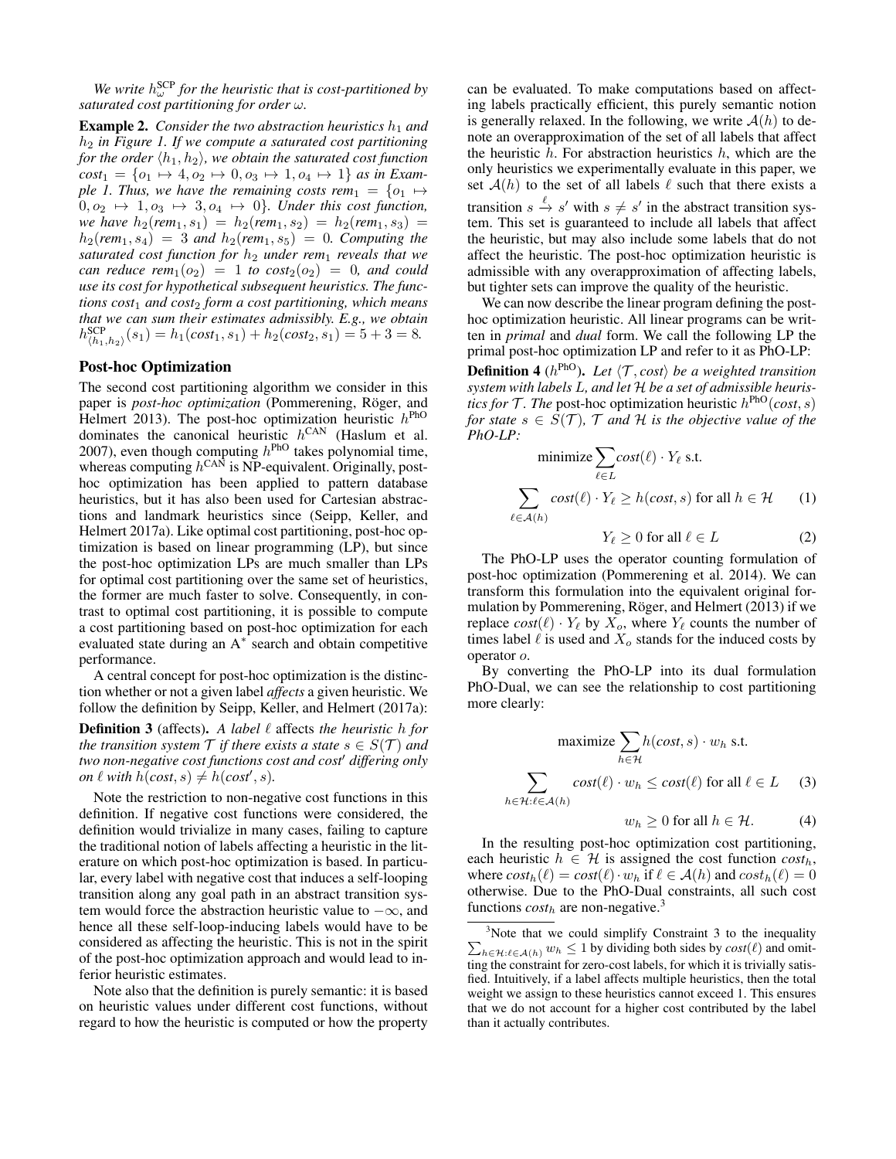We write  $h_{\omega}^{\text{SCP}}$  for the heuristic that is cost-partitioned by *saturated cost partitioning for order* ω*.*

**Example 2.** *Consider the two abstraction heuristics*  $h_1$  *and* h<sup>2</sup> *in Figure 1. If we compute a saturated cost partitioning for the order*  $\langle h_1, h_2 \rangle$ *, we obtain the saturated cost function*  $cost_1 = \{o_1 \mapsto 4, o_2 \mapsto 0, o_3 \mapsto 1, o_4 \mapsto 1\}$  *as in Example 1. Thus, we have the remaining costs rem*<sub>1</sub> =  $\{o_1 \mapsto$  $0, o_2 \mapsto 1, o_3 \mapsto 3, o_4 \mapsto 0$ *}. Under this cost function, we have*  $h_2$ (*rem*<sub>1</sub>, s<sub>1</sub>) =  $h_2$ (*rem*<sub>1</sub>, s<sub>2</sub>) =  $h_2$ (*rem*<sub>1</sub>, s<sub>3</sub>) =  $h_2(rem_1, s_4) = 3$  *and*  $h_2(rem_1, s_5) = 0$ *. Computing the saturated cost function for*  $h_2$  *under rem*<sub>1</sub> *reveals that we can reduce rem*<sub>1</sub>( $o_2$ ) = 1 *to cost*<sub>2</sub>( $o_2$ ) = 0*, and could use its cost for hypothetical subsequent heuristics. The functions cost*<sup>1</sup> *and cost*<sup>2</sup> *form a cost partitioning, which means that we can sum their estimates admissibly. E.g., we obtain*  $h_{\langle h_1, h_2 \rangle}^{\text{SCP}}(s_1) = h_1(cost_1, s_1) + h_2(cost_2, s_1) = 5 + 3 = 8.$ 

#### Post-hoc Optimization

The second cost partitioning algorithm we consider in this paper is *post-hoc optimization* (Pommerening, Röger, and Helmert 2013). The post-hoc optimization heuristic  $h^{\text{PhO}}$ dominates the canonical heuristic  $h^{\text{CAN}}$  (Haslum et al. 2007), even though computing  $h^{\text{PhO}}$  takes polynomial time, whereas computing  $h^{\text{CAN}}$  is NP-equivalent. Originally, posthoc optimization has been applied to pattern database heuristics, but it has also been used for Cartesian abstractions and landmark heuristics since (Seipp, Keller, and Helmert 2017a). Like optimal cost partitioning, post-hoc optimization is based on linear programming (LP), but since the post-hoc optimization LPs are much smaller than LPs for optimal cost partitioning over the same set of heuristics, the former are much faster to solve. Consequently, in contrast to optimal cost partitioning, it is possible to compute a cost partitioning based on post-hoc optimization for each evaluated state during an A<sup>∗</sup> search and obtain competitive performance.

A central concept for post-hoc optimization is the distinction whether or not a given label *affects* a given heuristic. We follow the definition by Seipp, Keller, and Helmert (2017a):

**Definition 3** (affects). A label  $\ell$  affects the heuristic h for *the transition system*  $\mathcal T$  *if there exists a state*  $s \in S(\mathcal T)$  *and two non-negative cost functions cost and cost' differing only on*  $\ell$  *with*  $h(cost, s) \neq h(cost', s)$ *.* 

Note the restriction to non-negative cost functions in this definition. If negative cost functions were considered, the definition would trivialize in many cases, failing to capture the traditional notion of labels affecting a heuristic in the literature on which post-hoc optimization is based. In particular, every label with negative cost that induces a self-looping transition along any goal path in an abstract transition system would force the abstraction heuristic value to  $-\infty$ , and hence all these self-loop-inducing labels would have to be considered as affecting the heuristic. This is not in the spirit of the post-hoc optimization approach and would lead to inferior heuristic estimates.

Note also that the definition is purely semantic: it is based on heuristic values under different cost functions, without regard to how the heuristic is computed or how the property

can be evaluated. To make computations based on affecting labels practically efficient, this purely semantic notion is generally relaxed. In the following, we write  $A(h)$  to denote an overapproximation of the set of all labels that affect the heuristic  $h$ . For abstraction heuristics  $h$ , which are the only heuristics we experimentally evaluate in this paper, we set  $A(h)$  to the set of all labels  $\ell$  such that there exists a transition  $s \stackrel{\ell}{\rightarrow} s'$  with  $s \neq s'$  in the abstract transition system. This set is guaranteed to include all labels that affect the heuristic, but may also include some labels that do not affect the heuristic. The post-hoc optimization heuristic is admissible with any overapproximation of affecting labels, but tighter sets can improve the quality of the heuristic.

We can now describe the linear program defining the posthoc optimization heuristic. All linear programs can be written in *primal* and *dual* form. We call the following LP the primal post-hoc optimization LP and refer to it as PhO-LP:

**Definition 4** ( $h^{\text{PhO}}$ ). Let  $\langle \mathcal{T}, cost \rangle$  be a weighted transition *system with labels* L*, and let* H *be a set of admissible heuristics for*  $\mathcal{T}$ *. The* post-hoc optimization heuristic  $h^{\text{PhO}}(cost, s)$ *for state*  $s \in S(\mathcal{T})$ *,*  $\mathcal{T}$  *and*  $\mathcal{H}$  *is the objective value of the PhO-LP:*

minimize 
$$
\sum_{\ell \in L} cost(\ell) \cdot Y_{\ell}
$$
 s.t.  
\n
$$
\sum_{\ell \in \mathcal{A}(h)} cost(\ell) \cdot Y_{\ell} \ge h(cost, s) \text{ for all } h \in \mathcal{H} \qquad (1)
$$

$$
Y_{\ell} \ge 0 \text{ for all } \ell \in L \tag{2}
$$

The PhO-LP uses the operator counting formulation of post-hoc optimization (Pommerening et al. 2014). We can transform this formulation into the equivalent original formulation by Pommerening, Röger, and Helmert (2013) if we replace  $cost(\ell) \cdot Y_{\ell}$  by  $X_o$ , where  $Y_{\ell}$  counts the number of times label  $\ell$  is used and  $X_o$  stands for the induced costs by operator o.

By converting the PhO-LP into its dual formulation PhO-Dual, we can see the relationship to cost partitioning more clearly:

$$
\text{maximize } \sum_{h \in \mathcal{H}} h(\text{cost}, s) \cdot w_h \text{ s.t.}
$$
\n
$$
\sum_{h \in \mathcal{H}: \ell \in \mathcal{A}(h)} \text{cost}(\ell) \cdot w_h \le \text{cost}(\ell) \text{ for all } \ell \in L \quad (3)
$$

 $w_h \geq 0$  for all  $h \in \mathcal{H}$ . (4)

In the resulting post-hoc optimization cost partitioning, each heuristic  $h \in \mathcal{H}$  is assigned the cost function  $cost_h$ , where  $cost_h(\ell) = cost(\ell) \cdot w_h$  if  $\ell \in \mathcal{A}(h)$  and  $cost_h(\ell) = 0$ otherwise. Due to the PhO-Dual constraints, all such cost functions  $cost<sub>h</sub>$  are non-negative.<sup>3</sup>

 $3$  Note that we could simplify Constraint 3 to the inequality  $\sum_{h \in \mathcal{H}: \ell \in \mathcal{A}(h)} w_h \leq 1$  by dividing both sides by  $cost(\ell)$  and omitting the constraint for zero-cost labels, for which it is trivially satisfied. Intuitively, if a label affects multiple heuristics, then the total weight we assign to these heuristics cannot exceed 1. This ensures that we do not account for a higher cost contributed by the label than it actually contributes.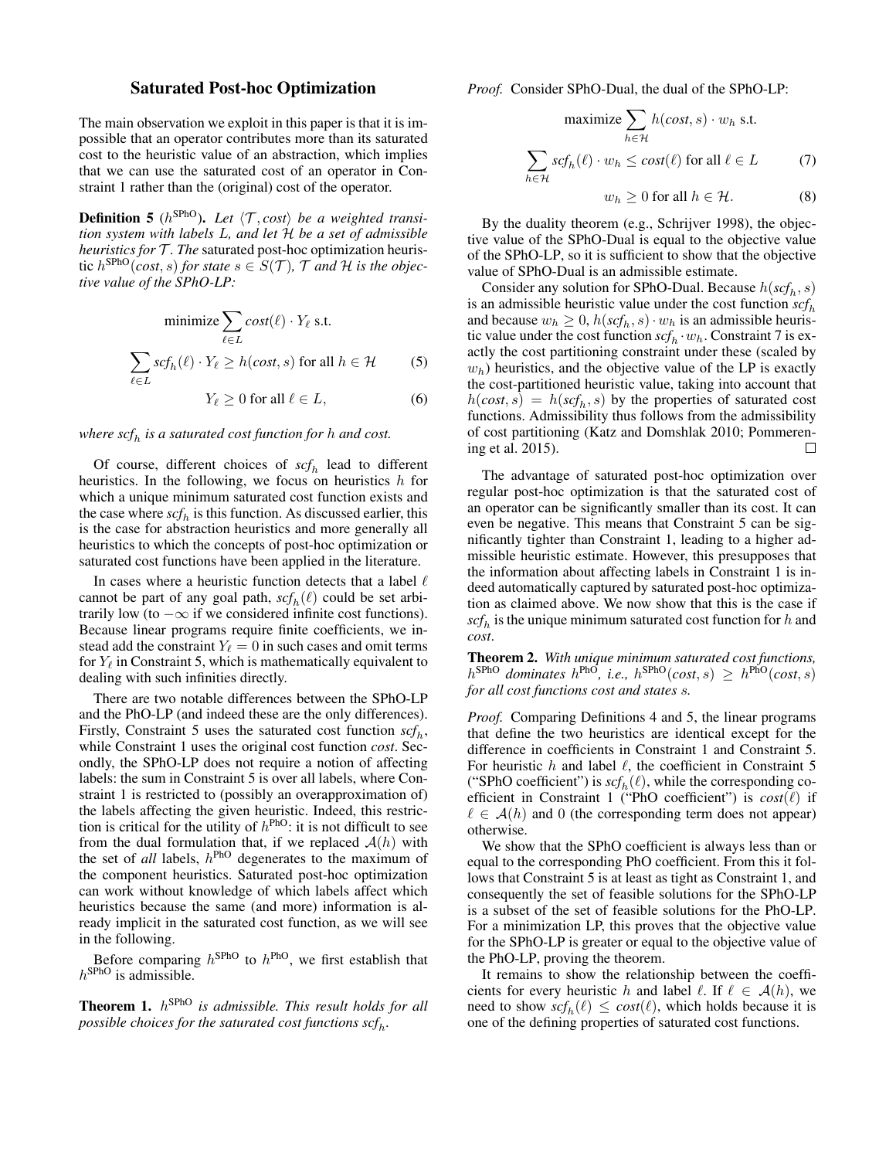### Saturated Post-hoc Optimization

The main observation we exploit in this paper is that it is impossible that an operator contributes more than its saturated cost to the heuristic value of an abstraction, which implies that we can use the saturated cost of an operator in Constraint 1 rather than the (original) cost of the operator.

**Definition 5** ( $h^{\text{SPhO}}$ ). Let  $\langle \mathcal{T}, cost \rangle$  be a weighted transi*tion system with labels* L*, and let* H *be a set of admissible heuristics for*  $T$ *. The* saturated post-hoc optimization heuristic  $h^{\text{SPhO}}(\text{cost}, s)$  for state  $s \in S(\mathcal{T})$ ,  $\mathcal{T}$  and  $\mathcal{H}$  is the objec*tive value of the SPhO-LP:*

minimize 
$$
\sum_{\ell \in L} cost(\ell) \cdot Y_{\ell}
$$
 s.t.  

$$
\sum_{\ell \in L} scf_h(\ell) \cdot Y_{\ell} \ge h(cost, s) \text{ for all } h \in \mathcal{H}
$$
 (5)

 $Y_{\ell} \ge 0$  for all  $\ell \in L$ , (6)

## *where scf*<sup>h</sup> *is a saturated cost function for* h *and cost.*

Of course, different choices of  $\mathit{scf}_h$  lead to different heuristics. In the following, we focus on heuristics  $h$  for which a unique minimum saturated cost function exists and the case where  $\mathfrak{sc} f_h$  is this function. As discussed earlier, this is the case for abstraction heuristics and more generally all heuristics to which the concepts of post-hoc optimization or saturated cost functions have been applied in the literature.

In cases where a heuristic function detects that a label  $\ell$ cannot be part of any goal path,  $\mathit{scf}_h(\ell)$  could be set arbitrarily low (to  $-\infty$  if we considered infinite cost functions). Because linear programs require finite coefficients, we instead add the constraint  $Y_\ell = 0$  in such cases and omit terms for  $Y_\ell$  in Constraint 5, which is mathematically equivalent to dealing with such infinities directly.

There are two notable differences between the SPhO-LP and the PhO-LP (and indeed these are the only differences). Firstly, Constraint 5 uses the saturated cost function  $\mathit{scf}_h$ , while Constraint 1 uses the original cost function *cost*. Secondly, the SPhO-LP does not require a notion of affecting labels: the sum in Constraint 5 is over all labels, where Constraint 1 is restricted to (possibly an overapproximation of) the labels affecting the given heuristic. Indeed, this restriction is critical for the utility of  $h^{\text{PhO}}$ : it is not difficult to see from the dual formulation that, if we replaced  $A(h)$  with the set of *all* labels, h PhO degenerates to the maximum of the component heuristics. Saturated post-hoc optimization can work without knowledge of which labels affect which heuristics because the same (and more) information is already implicit in the saturated cost function, as we will see in the following.

Before comparing  $h^{\text{SPhO}}$  to  $h^{\text{PhO}}$ , we first establish that  $h^{\text{SPhO}}$  is admissible.

Theorem 1. h SPhO *is admissible. This result holds for all* possible choices for the saturated cost functions  $\mathit{scf}_h$ .

*Proof.* Consider SPhO-Dual, the dual of the SPhO-LP:

$$
\text{maximize } \sum_{h \in \mathcal{H}} h(\text{cost}, s) \cdot w_h \text{ s.t.}
$$
\n
$$
\sum_{h \in \mathcal{H}} \text{scf}_h(\ell) \cdot w_h \le \text{cost}(\ell) \text{ for all } \ell \in L \tag{7}
$$
\n
$$
w_h \ge 0 \text{ for all } h \in \mathcal{H}. \tag{8}
$$

By the duality theorem (e.g., Schrijver 1998), the objective value of the SPhO-Dual is equal to the objective value of the SPhO-LP, so it is sufficient to show that the objective

value of SPhO-Dual is an admissible estimate. Consider any solution for SPhO-Dual. Because  $h(\mathit{scf}_h, s)$ is an admissible heuristic value under the cost function  $\mathit{scf}_h$ and because  $w_h \geq 0$ ,  $h(\mathit{scf}_h, s) \cdot w_h$  is an admissible heuristic value under the cost function  $\mathit{scf}_h \cdot w_h$ . Constraint 7 is exactly the cost partitioning constraint under these (scaled by  $w<sub>h</sub>$ ) heuristics, and the objective value of the LP is exactly the cost-partitioned heuristic value, taking into account that  $h(cost, s) = h(scf<sub>h</sub>, s)$  by the properties of saturated cost functions. Admissibility thus follows from the admissibility of cost partitioning (Katz and Domshlak 2010; Pommerening et al. 2015).  $\Box$ 

The advantage of saturated post-hoc optimization over regular post-hoc optimization is that the saturated cost of an operator can be significantly smaller than its cost. It can even be negative. This means that Constraint 5 can be significantly tighter than Constraint 1, leading to a higher admissible heuristic estimate. However, this presupposes that the information about affecting labels in Constraint 1 is indeed automatically captured by saturated post-hoc optimization as claimed above. We now show that this is the case if  $\mathit{scf}_h$  is the unique minimum saturated cost function for  $h$  and *cost*.

Theorem 2. *With unique minimum saturated cost functions,*  $h^{\text{SPhO}}$  dominates  $h^{\text{PhO}}$ , i.e.,  $h^{\text{SPhO}}(cost, s) \geq h^{\text{PhO}}(cost, s)$ *for all cost functions cost and states* s*.*

*Proof.* Comparing Definitions 4 and 5, the linear programs that define the two heuristics are identical except for the difference in coefficients in Constraint 1 and Constraint 5. For heuristic  $h$  and label  $\ell$ , the coefficient in Constraint 5 ("SPhO coefficient") is  $\mathit{scf}_h(\ell)$ , while the corresponding coefficient in Constraint 1 ("PhO coefficient") is  $cost(\ell)$  if  $\ell \in \mathcal{A}(h)$  and 0 (the corresponding term does not appear) otherwise.

We show that the SPhO coefficient is always less than or equal to the corresponding PhO coefficient. From this it follows that Constraint 5 is at least as tight as Constraint 1, and consequently the set of feasible solutions for the SPhO-LP is a subset of the set of feasible solutions for the PhO-LP. For a minimization LP, this proves that the objective value for the SPhO-LP is greater or equal to the objective value of the PhO-LP, proving the theorem.

It remains to show the relationship between the coefficients for every heuristic h and label  $\ell$ . If  $\ell \in \mathcal{A}(h)$ , we need to show  $\mathit{scf}_h(\ell) \leq \mathit{cost}(\ell)$ , which holds because it is one of the defining properties of saturated cost functions.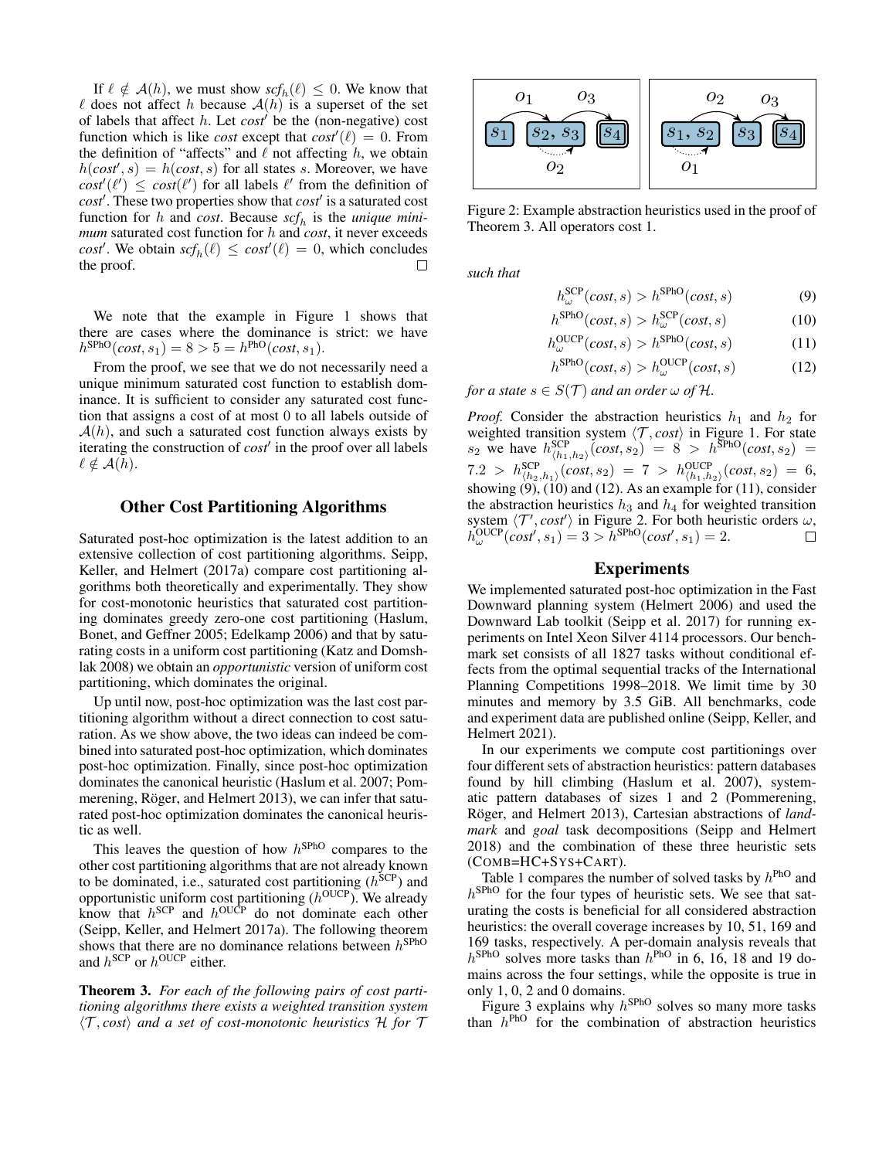If  $\ell \notin \mathcal{A}(h)$ , we must show  $\mathit{scf}_h(\ell) \leq 0$ . We know that  $\ell$  does not affect h because  $A(h)$  is a superset of the set of labels that affect  $h$ . Let  $cost'$  be the (non-negative) cost function which is like *cost* except that  $cost'(\ell) = 0$ . From the definition of "affects" and  $\ell$  not affecting h, we obtain  $h(cost, s) = h(cost, s)$  for all states s. Moreover, we have  $\cos t'(\ell') \leq \cos t(\ell')$  for all labels  $\ell'$  from the definition of *cost*'. These two properties show that *cost*' is a saturated cost function for h and *cost*. Because  $\mathit{scf}_h$  is the *unique minimum* saturated cost function for h and *cost*, it never exceeds *cost'*. We obtain  $\text{scf}_h(\ell) \leq \text{cosf}'(\ell) = 0$ , which concludes the proof. □

We note that the example in Figure 1 shows that there are cases where the dominance is strict: we have  $h^{\text{SPhO}}(cost, s_1) = 8 > 5 = h^{\text{PhO}}(cost, s_1).$ 

From the proof, we see that we do not necessarily need a unique minimum saturated cost function to establish dominance. It is sufficient to consider any saturated cost function that assigns a cost of at most 0 to all labels outside of  $\mathcal{A}(h)$ , and such a saturated cost function always exists by iterating the construction of *cost'* in the proof over all labels  $\ell \notin \mathcal{A}(h).$ 

### Other Cost Partitioning Algorithms

Saturated post-hoc optimization is the latest addition to an extensive collection of cost partitioning algorithms. Seipp, Keller, and Helmert (2017a) compare cost partitioning algorithms both theoretically and experimentally. They show for cost-monotonic heuristics that saturated cost partitioning dominates greedy zero-one cost partitioning (Haslum, Bonet, and Geffner 2005; Edelkamp 2006) and that by saturating costs in a uniform cost partitioning (Katz and Domshlak 2008) we obtain an *opportunistic* version of uniform cost partitioning, which dominates the original.

Up until now, post-hoc optimization was the last cost partitioning algorithm without a direct connection to cost saturation. As we show above, the two ideas can indeed be combined into saturated post-hoc optimization, which dominates post-hoc optimization. Finally, since post-hoc optimization dominates the canonical heuristic (Haslum et al. 2007; Pommerening, Röger, and Helmert 2013), we can infer that saturated post-hoc optimization dominates the canonical heuristic as well.

This leaves the question of how  $h^{\text{SPhO}}$  compares to the other cost partitioning algorithms that are not already known to be dominated, i.e., saturated cost partitioning  $(h<sup>SCP</sup>)$  and opportunistic uniform cost partitioning  $(h^{\text{OUCP}})$ . We already know that  $h^{\text{SCP}}$  and  $h^{\text{OUCP}}$  do not dominate each other (Seipp, Keller, and Helmert 2017a). The following theorem shows that there are no dominance relations between  $h^{\text{SPhO}}$ and  $h^{\text{SCP}}$  or  $h^{\text{OUCP}}$  either.

Theorem 3. *For each of the following pairs of cost partitioning algorithms there exists a weighted transition system*  $\langle \mathcal{T}, \text{cost} \rangle$  and a set of cost-monotonic heuristics H for  $\mathcal{T}$ 



Figure 2: Example abstraction heuristics used in the proof of Theorem 3. All operators cost 1.

*such that*

$$
h_{\omega}^{\text{SCP}}(cost, s) > h^{\text{SPhO}}(cost, s)
$$
\n(9)

$$
h^{\text{SPhO}}(\text{cost}, s) > h^{\text{SCP}}_{\omega}(\text{cost}, s) \tag{10}
$$

$$
h_{\omega}^{\text{OUCP}}(cost, s) > h^{\text{SPhO}}(cost, s)
$$
 (11)

$$
h^{\text{SPhO}}(\text{cost}, s) > h^{\text{OUCP}}_{\omega}(\text{cost}, s)
$$
 (12)

*for a state*  $s \in S(T)$  *and an order*  $\omega$  *of*  $\mathcal{H}$ *.* 

*Proof.* Consider the abstraction heuristics  $h_1$  and  $h_2$  for weighted transition system  $\langle \mathcal{T}, cost \rangle$  in Figure 1. For state  $s_2$  we have  $h^{\text{SCP}}_{\langle h_1, h_2 \rangle}(cost, s_2) = 8 > h^{\text{SPhO}}(cost, s_2) =$  $7.2 > h^{\text{SCP}}_{\langle h_2,h_1\rangle}(cost,s_2) = 7 > h^{\text{OUCP}}_{\langle h_1,h_2\rangle}(cost,s_2) = 6,$ showing  $(9)$ ,  $(10)$  and  $(12)$ . As an example for  $(11)$ , consider the abstraction heuristics  $h_3$  and  $h_4$  for weighted transition system  $\langle T', cost' \rangle$  in Figure 2. For both heuristic orders  $\omega$ ,  $h_{\omega}^{\text{OUCP}}(cost', s_1) = 3 > h^{\text{SPhO}}(cost', s_1) = 2.$ 

### Experiments

We implemented saturated post-hoc optimization in the Fast Downward planning system (Helmert 2006) and used the Downward Lab toolkit (Seipp et al. 2017) for running experiments on Intel Xeon Silver 4114 processors. Our benchmark set consists of all 1827 tasks without conditional effects from the optimal sequential tracks of the International Planning Competitions 1998–2018. We limit time by 30 minutes and memory by 3.5 GiB. All benchmarks, code and experiment data are published online (Seipp, Keller, and Helmert 2021).

In our experiments we compute cost partitionings over four different sets of abstraction heuristics: pattern databases found by hill climbing (Haslum et al. 2007), systematic pattern databases of sizes 1 and 2 (Pommerening, Röger, and Helmert 2013), Cartesian abstractions of *landmark* and *goal* task decompositions (Seipp and Helmert 2018) and the combination of these three heuristic sets (COMB=HC+SYS+CART).

Table 1 compares the number of solved tasks by  $h^{\text{PhO}}$  and  $h^{\text{SPhO}}$  for the four types of heuristic sets. We see that saturating the costs is beneficial for all considered abstraction heuristics: the overall coverage increases by 10, 51, 169 and 169 tasks, respectively. A per-domain analysis reveals that  $h^{\text{SPhO}}$  solves more tasks than  $h^{\text{PhO}}$  in 6, 16, 18 and 19 domains across the four settings, while the opposite is true in only 1, 0, 2 and 0 domains.

Figure 3 explains why  $h^{\text{SPhO}}$  solves so many more tasks than  $h^{\text{PhO}}$  for the combination of abstraction heuristics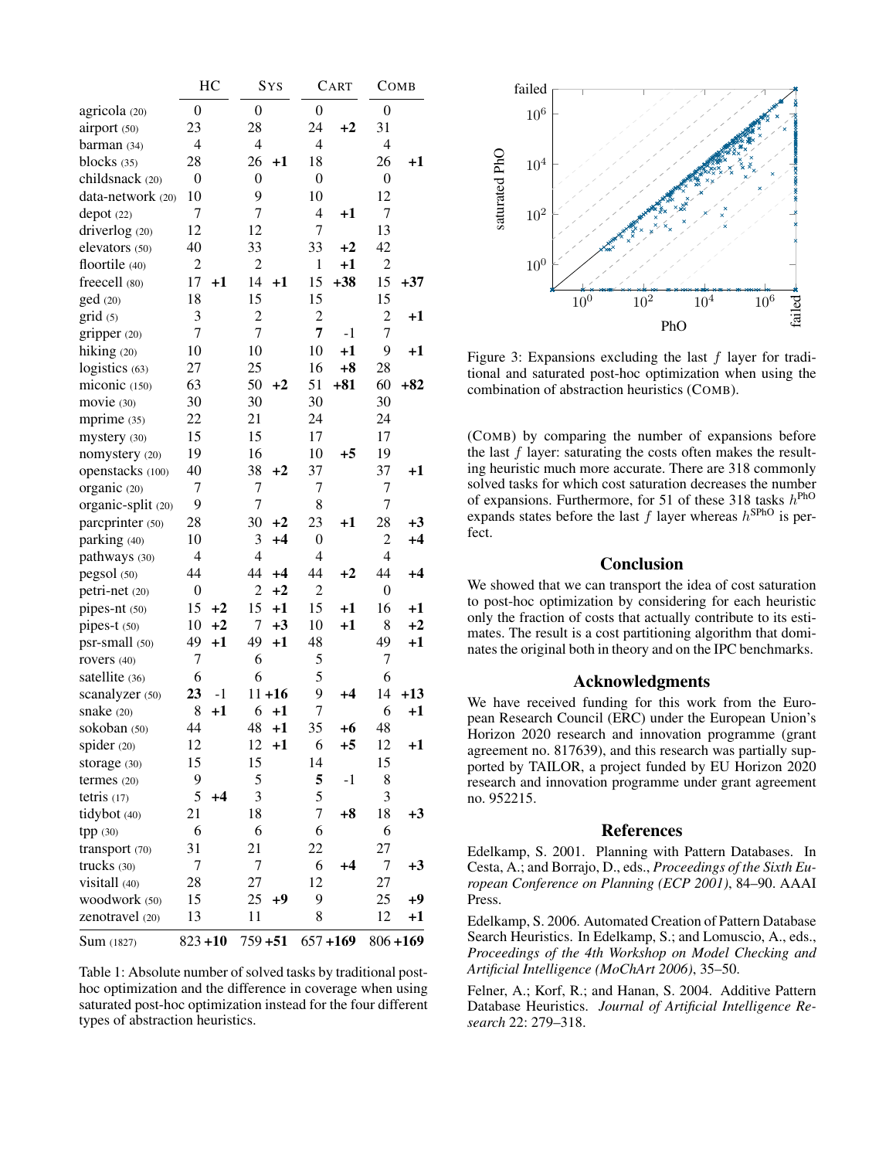|                    | HC               |            |                  | <b>SYS</b> |                  | CART        |                  | COMB        |  |
|--------------------|------------------|------------|------------------|------------|------------------|-------------|------------------|-------------|--|
| agricola (20)      | $\overline{0}$   |            | $\overline{0}$   |            | $\overline{0}$   |             | $\boldsymbol{0}$ |             |  |
| airport (50)       | 23               |            | 28               |            | 24               | $+2$        | 31               |             |  |
| barman $(34)$      | $\overline{4}$   |            | $\overline{4}$   |            | $\overline{4}$   |             | $\overline{4}$   |             |  |
| blocks $(35)$      | 28               |            | 26               | $+1$       | 18               |             | 26               | +1          |  |
| childsnack (20)    | $\overline{0}$   |            | $\boldsymbol{0}$ |            | $\boldsymbol{0}$ |             | $\overline{0}$   |             |  |
| data-network (20)  | 10               |            | 9                |            | 10               |             | 12               |             |  |
| depot(22)          | 7                |            | 7                |            | 4                | $^{+1}$     | 7                |             |  |
| driverlog (20)     | 12               |            | 12               |            | 7                |             | 13               |             |  |
| elevators (50)     | 40               |            | 33               |            | 33               | $+2$        | 42               |             |  |
| floortile (40)     | $\overline{c}$   |            | $\overline{c}$   |            | 1                | $+1$        | $\overline{c}$   |             |  |
| freecell (80)      | 17               | $^{+1}$    | 14               | $+1$       | 15               | $+38$       | 15               | $+37$       |  |
| ged (20)           | 18               |            | 15               |            | 15               |             | 15               |             |  |
| grid(5)            | 3                |            | $\overline{c}$   |            | $\overline{c}$   |             | $\overline{c}$   | $^{+1}$     |  |
| gripper (20)       | 7                |            | 7                |            | 7                | $-1$        | 7                |             |  |
| hiking (20)        | 10               |            | 10               |            | 10               | $+1$        | 9                | $^{+1}$     |  |
| logistics (63)     | 27               |            | 25               |            | 16               | $+8$        | 28               |             |  |
| miconic (150)      | 63               |            | 50               | $+2$       | 51               | $+81$       | 60               | $+82$       |  |
| movie (30)         | 30               |            | 30               |            | 30               |             | 30               |             |  |
| mprime (35)        | 22               |            | 21               |            | 24               |             | 24               |             |  |
| mystery (30)       | 15               |            | 15               |            | 17               |             | 17               |             |  |
| nomystery (20)     | 19               |            | 16               |            | 10               | +5          | 19               |             |  |
| openstacks (100)   | 40               |            | 38               | $+2$       | 37               |             | 37               | $^{+1}$     |  |
| organic (20)       | 7                |            | 7                |            | 7                |             | 7                |             |  |
| organic-split (20) | 9                |            | 7                |            | 8                |             | 7                |             |  |
| parcprinter (50)   | 28               |            | 30               | $+2$       | 23               | $+1$        | 28               | $+3$        |  |
| parking (40)       | 10               |            | 3                | $+4$       | $\boldsymbol{0}$ |             | 2                | $+4$        |  |
| pathways (30)      | $\overline{4}$   |            | 4                |            | $\overline{4}$   |             | $\overline{4}$   |             |  |
| pegsol (50)        | 44               |            | 44               | $+4$       | 44               | $+2$        | 44               | $+4$        |  |
| petri-net (20)     | $\boldsymbol{0}$ |            | 2                | $+2$       | $\overline{2}$   |             | $\boldsymbol{0}$ |             |  |
| pipes-nt (50)      | 15               | $+2$       | 15               | $+1$       | 15               | $+1$        | 16               | $^{+1}$     |  |
| pipes-t (50)       | 10               | $+2$       | 7                | $+3$       | 10               | $+1$        | 8                | $+2$        |  |
| psr-small (50)     | 49               | $+1$       | 49               | $+1$       | 48               |             | 49               | $+1$        |  |
| rovers (40)        | 7                |            | 6                |            | 5                |             | 7                |             |  |
| satellite (36)     | 6                |            | 6                |            | 5                |             | 6                |             |  |
| scanalyzer (50)    | 23               | $-1$       |                  | $11 + 16$  | 9                | $+4$        | 14               | $+13$       |  |
| snake $(20)$       | 8                | $+1$       | 6                | $+1$       | $\overline{7}$   |             | 6                | $+1$        |  |
| sokoban (50)       | 44               |            | 48               | $+1$       | 35               | $+6$        | 48               |             |  |
| spider (20)        | 12               |            | 12               | $+1$       | 6                | $+5$        | 12               | $+1$        |  |
| storage (30)       | 15               |            | 15               |            | 14               |             | 15               |             |  |
| termes (20)        | 9                |            | 5                |            | 5                | $-1$        | 8                |             |  |
| tetris $(17)$      | 5                | $+4$       | 3                |            | 5                |             | 3                |             |  |
| tidybot (40)       | 21               |            | 18               |            | 7                | $+8$        | 18               | $+3$        |  |
| tpp (30)           | 6                |            | 6                |            | 6                |             | 6                |             |  |
| transport (70)     | 31               |            | 21               |            | 22               |             | 27               |             |  |
| trucks (30)        | 7                |            | 7                |            | 6                | $+4$        | 7                | $+3$        |  |
| visitall (40)      | 28               |            | 27               |            | 12               |             | 27               |             |  |
| woodwork (50)      | 15               |            | 25               | $+9$       | 9                |             | 25               | $+9$        |  |
| zenotravel (20)    | 13               |            | 11               |            | 8                |             | 12               | $+1$        |  |
| <b>Sum</b> (1827)  |                  | $823 + 10$ |                  | $759 + 51$ |                  | $657 + 169$ |                  | $806 + 169$ |  |

Table 1: Absolute number of solved tasks by traditional posthoc optimization and the difference in coverage when using saturated post-hoc optimization instead for the four different types of abstraction heuristics.



Figure 3: Expansions excluding the last  $f$  layer for traditional and saturated post-hoc optimization when using the combination of abstraction heuristics (COMB).

(COMB) by comparing the number of expansions before the last  $f$  layer: saturating the costs often makes the resulting heuristic much more accurate. There are 318 commonly solved tasks for which cost saturation decreases the number of expansions. Furthermore, for 51 of these 318 tasks  $h^{\text{PhO}}$ expands states before the last  $f$  layer whereas  $h^{\text{SPhO}}$  is perfect.

### Conclusion

We showed that we can transport the idea of cost saturation to post-hoc optimization by considering for each heuristic only the fraction of costs that actually contribute to its estimates. The result is a cost partitioning algorithm that dominates the original both in theory and on the IPC benchmarks.

### Acknowledgments

We have received funding for this work from the European Research Council (ERC) under the European Union's Horizon 2020 research and innovation programme (grant agreement no. 817639), and this research was partially supported by TAILOR, a project funded by EU Horizon 2020 research and innovation programme under grant agreement no. 952215.

#### References

Edelkamp, S. 2001. Planning with Pattern Databases. In Cesta, A.; and Borrajo, D., eds., *Proceedings of the Sixth European Conference on Planning (ECP 2001)*, 84–90. AAAI Press.

Edelkamp, S. 2006. Automated Creation of Pattern Database Search Heuristics. In Edelkamp, S.; and Lomuscio, A., eds., *Proceedings of the 4th Workshop on Model Checking and Artificial Intelligence (MoChArt 2006)*, 35–50.

Felner, A.; Korf, R.; and Hanan, S. 2004. Additive Pattern Database Heuristics. *Journal of Artificial Intelligence Research* 22: 279–318.